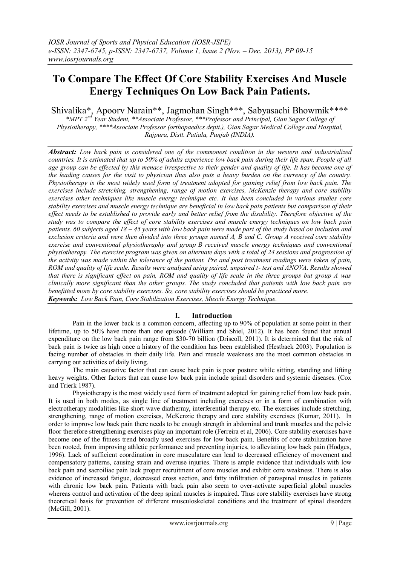# **To Compare The Effect Of Core Stability Exercises And Muscle Energy Techniques On Low Back Pain Patients.**

Shivalika\*, Apoorv Narain\*\*, Jagmohan Singh\*\*\*, Sabyasachi Bhowmik\*\*\*\*

*\*MPT 2nd Year Student, \*\*Associate Professor, \*\*\*Professor and Principal, Gian Sagar College of Physiotherapy, \*\*\*\*Associate Professor (orthopaedics deptt.), Gian Sagar Medical College and Hospital, Rajpura, Distt. Patiala, Punjab (INDIA).*

*Abstract: Low back pain is considered one of the commonest condition in the western and industrialized countries. It is estimated that up to 50% of adults experience low back pain during their life span. People of all age group can be effected by this menace irrespective to their gender and quality of life. It has become one of the leading causes for the visit to physician thus also puts a heavy burden on the currency of the country. Physiotherapy is the most widely used form of treatment adopted for gaining relief from low back pain. The exercises include stretching, strengthening, range of motion exercises, McKenzie therapy and core stability exercises other techniques like muscle energy technique etc. It has been concluded in various studies core stability exercises and muscle energy technique are beneficial in low back pain patients but comparison of their effect needs to be established to provide early and better relief from the disability. Therefore objective of the study was to compare the effect of core stability exercises and muscle energy techniques on low back pain patients. 60 subjects aged 18 – 45 years with low back pain were made part of the study based on inclusion and exclusion criteria and were then divided into three groups named A, B and C. Group A received core stability exercise and conventional physiotheraphy and group B received muscle energy techniques and conventional physiotherapy. The exercise program was given on alternate days with a total of 24 sessions and progression of the activity was made within the tolerance of the patient. Pre and post treatment readings were taken of pain, ROM and quality of life scale. Results were analyzed using paired, unpaired t- test and ANOVA. Results showed that there is significant effect on pain, ROM and quality of life scale in the three groups but group A was clinically more significant than the other groups. The study concluded that patients with low back pain are benefitted more by core stability exercises. So, core stability exercises should be practiced more. Keywords: Low Back Pain, Core Stabilization Exercises, Muscle Energy Technique.*

## **I. Introduction**

Pain in the lower back is a common concern, affecting up to 90% of population at some point in their lifetime, up to 50% have more than one episode (William and Shiel, 2012). It has been found that annual expenditure on the low back pain range from \$30-70 billion (Driscoll, 2011). It is determined that the risk of back pain is twice as high once a history of the condition has been established (Hestbaek 2003). Population is facing number of obstacles in their daily life. Pain and muscle weakness are the most common obstacles in carrying out activities of daily living.

The main causative factor that can cause back pain is poor posture while sitting, standing and lifting heavy weights. Other factors that can cause low back pain include spinal disorders and systemic diseases. (Cox and Trierk 1987).

Physiotherapy is the most widely used form of treatment adopted for gaining relief from low back pain. It is used in both modes, as single line of treatment including exercises or in a form of combination with electrotherapy modalities like short wave diathermy, interferential therapy etc. The exercises include stretching, strengthening, range of motion exercises, McKenzie therapy and core stability exercises (Kumar, 2011). In order to improve low back pain there needs to be enough strength in abdominal and trunk muscles and the pelvic floor therefore strengthening exercises play an important role (Ferreira et al, 2006). Core stability exercises have become one of the fitness trend broadly used exercises for low back pain. Benefits of core stabilization have been rooted, from improving athletic performance and preventing injuries, to alleviating low back pain (Hodges, 1996). Lack of sufficient coordination in core musculature can lead to decreased efficiency of movement and compensatory patterns, causing strain and overuse injuries. There is ample evidence that individuals with low back pain and sacroiliac pain lack proper recruitment of core muscles and exhibit core weakness. There is also evidence of increased fatigue, decreased cross section, and fatty infiltration of paraspinal muscles in patients with chronic low back pain. Patients with back pain also seem to over-activate superficial global muscles whereas control and activation of the deep spinal muscles is impaired. Thus core stability exercises have strong theoretical basis for prevention of different musculoskeletal conditions and the treatment of spinal disorders (McGill, 2001).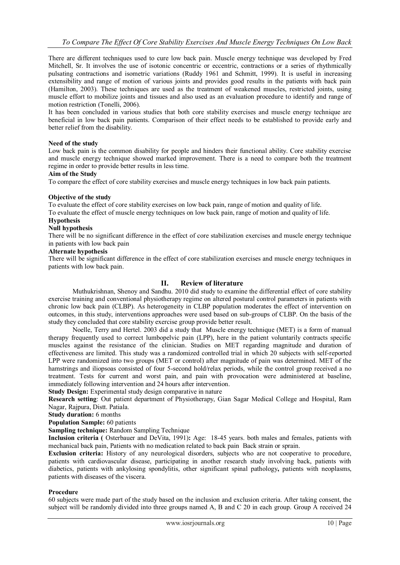There are different techniques used to cure low back pain. Muscle energy technique was developed by Fred Mitchell, Sr. It involves the use of isotonic concentric or eccentric, contractions or a series of rhythmically pulsating contractions and isometric variations (Ruddy 1961 and Schmitt, 1999). It is useful in increasing extensibility and range of motion of various joints and provides good results in the patients with back pain (Hamilton, 2003). These techniques are used as the treatment of weakened muscles, restricted joints, using muscle effort to mobilize joints and tissues and also used as an evaluation procedure to identify and range of motion restriction (Tonelli, 2006).

It has been concluded in various studies that both core stability exercises and muscle energy technique are beneficial in low back pain patients. Comparison of their effect needs to be established to provide early and better relief from the disability.

### **Need of the study**

Low back pain is the common disability for people and hinders their functional ability. Core stability exercise and muscle energy technique showed marked improvement. There is a need to compare both the treatment regime in order to provide better results in less time.

### **Aim of the Study**

To compare the effect of core stability exercises and muscle energy techniques in low back pain patients.

### **Objective of the study**

To evaluate the effect of core stability exercises on low back pain, range of motion and quality of life.

To evaluate the effect of muscle energy techniques on low back pain, range of motion and quality of life.

### **Hypothesis**

### **Null hypothesis**

There will be no significant difference in the effect of core stabilization exercises and muscle energy technique in patients with low back pain

### **Alternate hypothesis**

There will be significant difference in the effect of core stabilization exercises and muscle energy techniques in patients with low back pain.

## **II. Review of literature**

Muthukrishnan, Shenoy and Sandhu. 2010 did study to examine the differential effect of core stability exercise training and conventional physiotherapy regime on altered postural control parameters in patients with chronic low back pain (CLBP). As heterogeneity in CLBP population moderates the effect of intervention on outcomes, in this study, interventions approaches were used based on sub-groups of CLBP. On the basis of the study they concluded that core stability exercise group provide better result.

Noelle, Terry and Hertel. 2003 did a study that Muscle energy technique (MET) is a form of manual therapy frequently used to correct lumbopelvic pain (LPP), here in the patient voluntarily contracts specific muscles against the resistance of the clinician. Studies on MET regarding magnitude and duration of effectiveness are limited. This study was a randomized controlled trial in which 20 subjects with self-reported LPP were randomized into two groups (MET or control) after magnitude of pain was determined. MET of the hamstrings and iliopsoas consisted of four 5-second hold/relax periods, while the control group received a no treatment. Tests for current and worst pain, and pain with provocation were administered at baseline, immediately following intervention and 24 hours after intervention.

**Study Design:** Experimental study design comparative in nature

**Research setting**: Out patient department of Physiotherapy, Gian Sagar Medical College and Hospital, Ram Nagar, Rajpura, Distt. Patiala.

**Study duration:** 6 months

**Population Sample:** 60 patients

**Sampling technique:** Random Sampling Technique

**Inclusion criteria (** Osterbauer and DeVita, 1991)**:** Age: 18-45 years. both males and females, patients with mechanical back pain, Patients with no medication related to back pain Back strain or sprain.

**Exclusion criteria:** History of any neurological disorders, subjects who are not cooperative to procedure, patients with cardiovascular disease, participating in another research study involving back, patients with diabetics, patients with ankylosing spondylitis, other significant spinal pathology**,** patients with neoplasms, patients with diseases of the viscera.

### **Procedure**

60 subjects were made part of the study based on the inclusion and exclusion criteria. After taking consent, the subject will be randomly divided into three groups named A, B and C 20 in each group. Group A received 24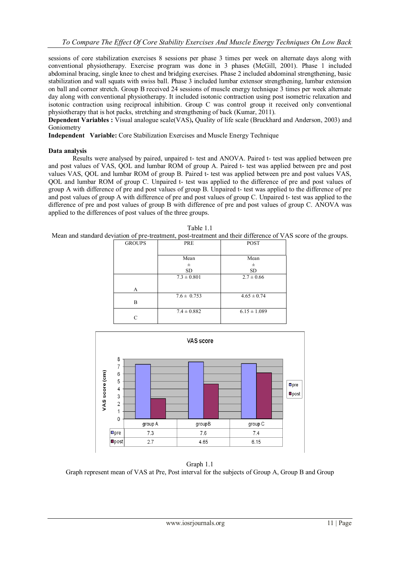sessions of core stabilization exercises 8 sessions per phase 3 times per week on alternate days along with conventional physiotherapy. Exercise program was done in 3 phases (McGill, 2001). Phase 1 included abdominal bracing, single knee to chest and bridging exercises. Phase 2 included abdominal strengthening, basic stabilization and wall squats with swiss ball. Phase 3 included lumbar extensor strengthening, lumbar extension on ball and corner stretch. Group B received 24 sessions of muscle energy technique 3 times per week alternate day along with conventional physiotherapy. It included isotonic contraction using post isometric relaxation and isotonic contraction using reciprocal inhibition. Group C was control group it received only conventional physiotherapy that is hot packs, stretching and strengthening of back (Kumar, 2011).

**Dependent Variables :** Visual analogue scale(VAS)**,** Quality of life scale (Bruckhard and Anderson, 2003) and Goniometry

**Independent Variable:** Core Stabilization Exercises and Muscle Energy Technique

### **Data analysis**

Results were analysed by paired, unpaired t- test and ANOVA. Paired t- test was applied between pre and post values of VAS, QOL and lumbar ROM of group A. Paired t- test was applied between pre and post values VAS, QOL and lumbar ROM of group B. Paired t- test was applied between pre and post values VAS, QOL and lumbar ROM of group C. Unpaired t- test was applied to the difference of pre and post values of group A with difference of pre and post values of group B. Unpaired t- test was applied to the difference of pre and post values of group A with difference of pre and post values of group C. Unpaired t- test was applied to the difference of pre and post values of group B with difference of pre and post values of group C. ANOVA was applied to the differences of post values of the three groups.

Table 1.1

|               |                 | Mean and standard deviation of pre-treatment, post-treatment and their difference of VAS score of the groups. |  |
|---------------|-----------------|---------------------------------------------------------------------------------------------------------------|--|
| <b>GROUPS</b> | PRE             | <b>POST</b>                                                                                                   |  |
|               |                 |                                                                                                               |  |
|               | Mean            | Mean                                                                                                          |  |
|               | 士               | 士                                                                                                             |  |
|               | SD.             | <b>SD</b>                                                                                                     |  |
|               | $7.3 \pm 0.801$ | $2.7 \pm 0.66$                                                                                                |  |
| A             |                 |                                                                                                               |  |
|               | $7.6 \pm 0.753$ | $4.65 \pm 0.74$                                                                                               |  |
| B             |                 |                                                                                                               |  |
|               | $7.4 \pm 0.882$ | $6.15 \pm 1.089$                                                                                              |  |
| С             |                 |                                                                                                               |  |



Graph 1.1 Graph represent mean of VAS at Pre, Post interval for the subjects of Group A, Group B and Group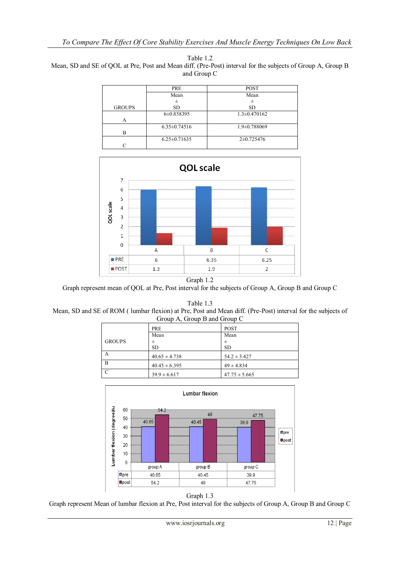Table 1.2 Mean, SD and SE of QOL at Pre, Post and Mean diff. (Pre-Post) interval for the subjects of Group A, Group B and Group C

|               | PRE                | <b>POST</b>        |
|---------------|--------------------|--------------------|
|               | Mean               | Mean               |
|               | 士                  | +                  |
| <b>GROUPS</b> | <b>SD</b>          | <b>SD</b>          |
|               | 6±0.858395         | $1.3 \pm 0.470162$ |
| А             |                    |                    |
|               | $6.35 \pm 0.74516$ | $1.9 \pm 0.788069$ |
| в             |                    |                    |
|               | $6.25 \pm 0.71635$ | $2\pm 0.725476$    |
|               |                    |                    |



Graph represent mean of QOL at Pre, Post interval for the subjects of Group A, Group B and Group C

Table 1.3

Mean, SD and SE of ROM ( lumbar flexion) at Pre, Post and Mean diff. (Pre-Post) interval for the subjects of Group A, Group B and Group C

|               | . .<br>. .        | . .               |
|---------------|-------------------|-------------------|
|               | <b>PRE</b>        | <b>POST</b>       |
|               | Mean              | Mean              |
| <b>GROUPS</b> | 士                 | 士                 |
|               | <b>SD</b>         | <b>SD</b>         |
| A             | $40.65 \pm 4.738$ | $54.2 \pm 3.427$  |
| B             | $40.45 \pm 6.395$ | $49 \pm 4.834$    |
| C             | $39.9 \pm 6.617$  | $47.75 \pm 5.665$ |
|               |                   |                   |





Graph represent Mean of lumbar flexion at Pre, Post interval for the subjects of Group A, Group B and Group C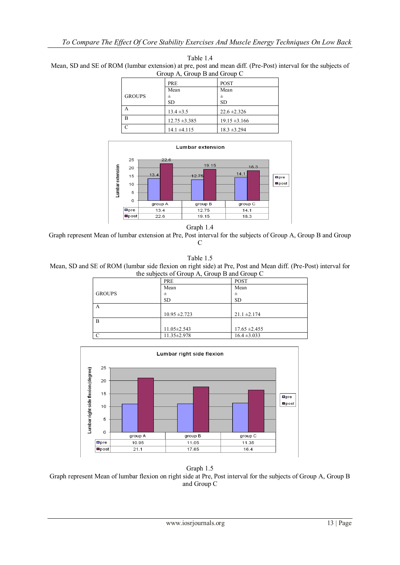| Group A, Group B and Group C |                   |                   |  |
|------------------------------|-------------------|-------------------|--|
|                              | <b>PRE</b>        | <b>POST</b>       |  |
|                              | Mean              | Mean              |  |
| <b>GROUPS</b>                | 士                 | 士                 |  |
|                              | <b>SD</b>         | <b>SD</b>         |  |
| А                            | $13.4 \pm 3.5$    | $22.6 \pm 2.326$  |  |
| R                            | $12.75 \pm 3.385$ | $19.15 \pm 3.166$ |  |
| $\subset$                    | $14.1 \pm 4.115$  | $18.3 \pm 3.294$  |  |

Table 1.4 Mean, SD and SE of ROM (lumbar extension) at pre, post and mean diff. (Pre-Post) interval for the subjects of





Graph 1.4

Graph represent Mean of lumbar extension at Pre, Post interval for the subjects of Group A, Group B and Group C

Table 1.5 Mean, SD and SE of ROM (lumbar side flexion on right side) at Pre, Post and Mean diff. (Pre-Post) interval for the subjects of Group A, Group B and Group C

|                | $\mu$ and subjects of Group <i>T</i> , Group D and Group $\sigma$ |                   |  |
|----------------|-------------------------------------------------------------------|-------------------|--|
|                | PRE                                                               | <b>POST</b>       |  |
|                | Mean                                                              | Mean              |  |
| <b>GROUPS</b>  | 士                                                                 | 士                 |  |
|                | <b>SD</b>                                                         | <b>SD</b>         |  |
| A              |                                                                   |                   |  |
|                | $10.95 \pm 2.723$                                                 | $21.1 \pm 2.174$  |  |
| $\overline{B}$ |                                                                   |                   |  |
|                | $11.05 \pm 2.543$                                                 | $17.65 \pm 2.455$ |  |
| <sup>-</sup> C | 11.35±2.978                                                       | $16.4 \pm 3.033$  |  |



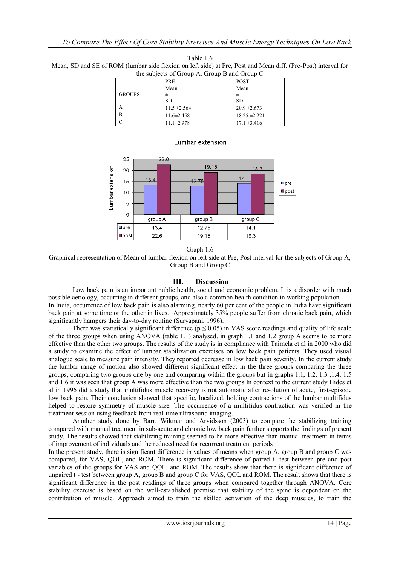| the subjects of Group A, Group B and Group C |                  |                   |  |
|----------------------------------------------|------------------|-------------------|--|
|                                              | <b>PRE</b>       | <b>POST</b>       |  |
|                                              | Mean             | Mean              |  |
| <b>GROUPS</b>                                | 士                |                   |  |
|                                              | <b>SD</b>        | <b>SD</b>         |  |
|                                              | $11.5 \pm 2.564$ | $20.9 \pm 2.673$  |  |
| $\overline{B}$                               | $11.6 \pm 2.458$ | $18.25 \pm 2.221$ |  |
|                                              | $11.1 \pm 2.978$ | $17.1 \pm 3.416$  |  |



Table 1.6 Mean, SD and SE of ROM (lumbar side flexion on left side) at Pre, Post and Mean diff. (Pre-Post) interval for



group B

12.75

19.15

group C

 $14.1$ 

18.3

 $\mathbf 0$ 

 $\Box$ pre

**Opost** 

group A

13.4

 $22.6$ 

Graphical representation of Mean of lumbar flexion on left side at Pre, Post interval for the subjects of Group A, Group B and Group C

## **III. Discussion**

Low back pain is an important public health, social and economic problem. It is a disorder with much possible aetiology, occurring in different groups, and also a common health condition in working population In India, occurrence of low back pain is also alarming, nearly 60 per cent of the people in India have significant back pain at some time or the other in lives. Approximately 35% people suffer from chronic back pain, which significantly hampers their day-to-day routine (Survapani, 1996).

There was statistically significant difference ( $p \le 0.05$ ) in VAS score readings and quality of life scale of the three groups when using ANOVA (table 1.1) analysed. in graph 1.1 and 1.2 group A seems to be more effective than the other two groups. The results of the study is in compliance with Taimela et al in 2000 who did a study to examine the effect of lumbar stabilization exercises on low back pain patients. They used visual analogue scale to measure pain intensity. They reported decrease in low back pain severity. In the current study the lumbar range of motion also showed different significant effect in the three groups comparing the three groups, comparing two groups one by one and comparing within the groups but in graphs 1.1, 1.2, 1.3 ,1.4, 1.5 and 1.6 it was seen that group A was more effective than the two groups.In context to the current study Hides et al in 1996 did a study that multifidus muscle recovery is not automatic after resolution of acute, first-episode low back pain. Their conclusion showed that specific, localized, holding contractions of the lumbar multifidus helped to restore symmetry of muscle size. The occurrence of a multifidus contraction was verified in the treatment session using feedback from real-time ultrasound imaging.

Another study done by Barr, Wikmar and Arvidsson (2003) to compare the stabilizing training compared with manual treatment in sub-acute and chronic low back pain further supports the findings of present study. The results showed that stabilizing training seemed to be more effective than manual treatment in terms of improvement of individuals and the reduced need for recurrent treatment periods

In the present study, there is significant difference in values of means when group A, group B and group C was compared, for VAS, QOL, and ROM. There is significant difference of paired t- test between pre and post variables of the groups for VAS and QOL, and ROM. The results show that there is significant difference of unpaired t - test between group A, group B and group C for VAS, QOL and ROM. The result shows that there is significant difference in the post readings of three groups when compared together through ANOVA. Core stability exercise is based on the well-established premise that stability of the spine is dependent on the contribution of muscle. Approach aimed to train the skilled activation of the deep muscles, to train the